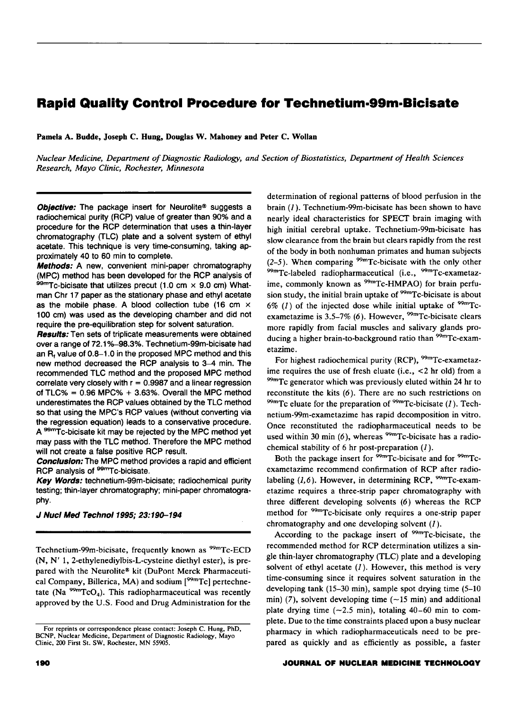# **Rapid Quality Control Procedure for Technetium·99m·Bicisate**

Pamela A. Budde, Joseph C. Hung, Douglas W. Mahoney and Peter C. Wollan

*Nuclear Medicine, Depanment of Diagnostic Radiology, and Section of Biostatistics, Depanment of Health Sciences Research, Mayo Clinic, Rochester, Minnesota* 

Objective: The package insert for Neurolite® suggests a radiochemical purity (RCP) value of greater than 90% and a procedure for the RCP determination that uses a thin-layer chromatography (TLC) plate and a solvent system of ethyl acetate. This technique is very time-consuming, taking approximately 40 to 60 min to complete.

**Methods:** A new, convenient mini-paper chromatography (MPC) method has been developed for the RCP analysis of 99<sup>m</sup>Tc-bicisate that utilizes precut (1.0 cm × 9.0 cm) Whatman Chr 17 paper as the stationary phase and ethyl acetate as the mobile phase. A blood collection tube (16 em *x*  100 em) was used as the developing chamber and did not require the pre-equilibration step for solvent saturation.

**Results:** Ten sets of triplicate measurements were obtained over a range of 72.1%-98.3%. Technetium-99m-bicisate had an  $R_t$  value of 0.8-1.0 in the proposed MPC method and this new method decreased the RCP analysis to 3-4 min. The recommended TLC method and the proposed MPC method correlate very closely with  $r = 0.9987$  and a linear regression of  $TLC% = 0.96$  MPC%  $+ 3.63%$ . Overall the MPC method underestimates the RCP values obtained by the TLC method so that using the MPC's RCP values (without converting via the regression equation) leads to a conservative procedure. A <sup>99m</sup>Tc-bicisate kit may be rejected by the MPC method yet may pass with the TLC method. Therefore the MPC method will not create a false positive RCP result.

**Conclusion:** The MPC method provides a rapid and efficient RCP analysis of <sup>99m</sup>Tc-bicisate.

Key Words: technetium-99m-bicisate; radiochemical purity testing; thin-layer chromatography; mini-paper chromatography.

#### J Nucl Med Technol 1995; 23:190–194

Technetium-99m-bicisate, frequently known as <sup>99m</sup>Tc-ECD (N, N' 1, 2-ethylenediylbis-L-cysteine diethyl ester), is prepared with the Neurolite® kit (DuPont Merck Pharmaceutical Company, Billerica, MA) and sodium [<sup>99m</sup>Tc] pertechnetate (Na  $^{99m}TcO<sub>4</sub>$ ). This radiopharmaceutical was recently approved by the U.S. Food and Drug Administration for the

determination of regional patterns of blood perfusion in the brain  $(1)$ . Technetium-99m-bicisate has been shown to have nearly ideal characteristics for SPECT brain imaging with high initial cerebral uptake. Technetium-99m-bicisate has slow clearance from the brain but clears rapidly from the rest of the body in both nonhuman primates and human subjects (2-5). When comparing <sup>99m</sup>Tc-bicisate with the only other  $99mTc$ -labeled radiopharmaceutical (i.e.,  $99mTc$ -exametazime, commonly known as <sup>99m</sup>Tc-HMPAO) for brain perfusion study, the initial brain uptake of <sup>99m</sup>Tc-bicisate is about  $6\%$  (1) of the injected dose while initial uptake of  $99m$ Tcexametazime is  $3.5-7\%$  (6). However, <sup>99m</sup>Tc-bicisate clears more rapidly from facial muscles and salivary glands producing a higher brain-to-background ratio than <sup>99m</sup>Tc-exametazime.

For highest radiochemical purity (RCP), <sup>99m</sup>Tc-exametazime requires the use of fresh eluate (i.e.,  $\leq$ 2 hr old) from a <sup>99m</sup>Tc generator which was previously eluted within 24 hr to reconstitute the kits (6). There are no such restrictions on  $\frac{99 \text{m}}{\text{C}}$  celuate for the preparation of  $\frac{99 \text{m}}{\text{C}}$ -bicisate (1). Technetium-99m-exametazime has rapid decomposition in vitro. Once reconstituted the radiopharmaceutical needs to be used within 30 min  $(6)$ , whereas <sup>99m</sup>Tc-bicisate has a radiochemical stability of 6 hr post-preparation  $(1)$ .

Both the package insert for <sup>99m</sup>Tc-bicisate and for <sup>99m</sup>Tcexametazime recommend confirmation of RCP after radiolabeling  $(1,6)$ . However, in determining RCP, <sup>99m</sup>Tc-exametazime requires a three-strip paper chromatography with three different developing solvents (6) whereas the RCP method for <sup>99m</sup>Tc-bicisate only requires a one-strip paper chromatography and one developing solvent  $(1)$ .

According to the package insert of <sup>99m</sup>Tc-bicisate, the recommended method for RCP determination utilizes a single thin-layer chromatography (TLC) plate and a developing solvent of ethyl acetate  $(I)$ . However, this method is very time-consuming since it requires solvent saturation in the developing tank (15-30 min), sample spot drying time (5-10 min) (7), solvent developing time  $(-15 \text{ min})$  and additional plate drying time  $(-2.5 \text{ min})$ , totaling 40-60 min to complete. Due to the time constraints placed upon a busy nuclear pharmacy in which radiopharmaceuticals need to be prepared as quickly and as efficiently as possible, a faster

### **.JOURNAL OF NUCLEAR MEDICINE TECHNOLOGY**

For reprints or correspondence please contact: Joseph C. Hung, PhD, BCNP, Nuclear Medicine, Department of Diagnostic Radiology, Mayo Clinic, 200 First St. SW, Rochester, MN 55905.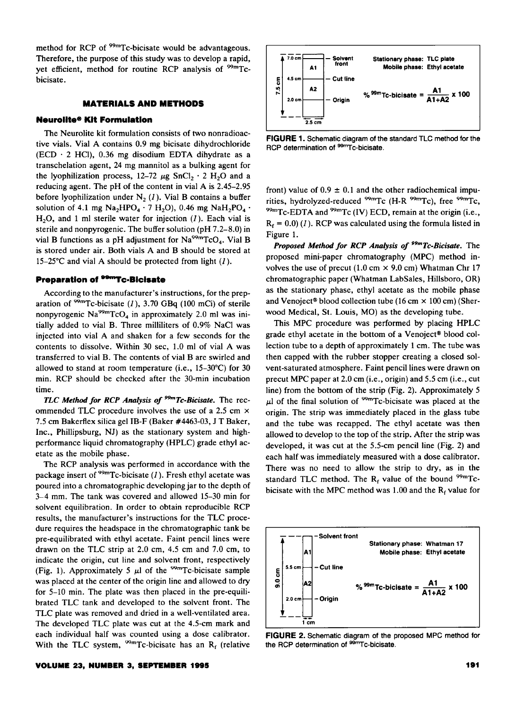method for RCP of <sup>99m</sup>Tc-bicisate would be advantageous. Therefore, the purpose of this study was to develop a rapid, yet efficient, method for routine RCP analysis of <sup>99m</sup>Tcbicisate.

### **MATERIALS AND METHODS**

## **Neurollte® Kit Formulation**

The Neurolite kit formulation consists of two nonradioactive vials. Vial A contains 0.9 mg bicisate dihydrochloride (ECD  $\cdot$  2 HCl), 0.36 mg disodium EDTA dihydrate as a transchelation agent, 24 mg mannitol as a bulking agent for the lyophilization process, 12-72  $\mu$ g SnCl<sub>2</sub> · 2 H<sub>2</sub>O and a reducing agent. The pH of the content in vial A is 2.45-2.95 before lyophilization under  $N_2$  (1). Vial B contains a buffer solution of 4.1 mg  $Na<sub>2</sub>HPO<sub>4</sub> \cdot 7 H<sub>2</sub>O$ , 0.46 mg  $NaH<sub>2</sub>PO<sub>4</sub> \cdot$ H20, and 1 ml sterile water for injection *(1* ). Each vial is sterile and nonpyrogenic. The buffer solution (pH 7.2-8.0) in vial B functions as a pH adjustment for  $Na<sup>99m</sup>TcO<sub>4</sub>$ . Vial B is stored under air. Both vials A and B should be stored at 15-25°C and vial A should be protected from light (1).

### **Preparation of <sup>99m</sup>Tc-Bicisate**

According to the manufacturer's instructions, for the preparation of  $99m$ Tc-bicisate (1), 3.70 GBq (100 mCi) of sterile nonpyrogenic  $Na<sup>99m</sup>TcO<sub>4</sub>$  in approximately 2.0 ml was initially added to vial B. Three milliliters of 0.9% NaCI was injected into vial A and shaken for a few seconds for the contents to dissolve. Within 30 sec, 1.0 ml of vial A was transferred to vial B. The contents of vial B are swirled and allowed to stand at room temperature (i.e., 15-30°C} for 30 min. RCP should be checked after the 30-min incubation time.

*TLC Method for RCP Analysis of 9 -Tc-Bicisate.* The recommended TLC procedure involves the use of a 2.5 cm  $\times$ 7.5 em Bakerflex silica gel IB-F (Baker #4463-03, J T Baker, Inc., Phillipsburg, NJ) as the stationary system and highperformance liquid chromatography (HPLC) grade ethyl acetate as the mobile phase.

The RCP analysis was performed in accordance with the package insert of  $99m$ Tc-bicisate (1). Fresh ethyl acetate was poured into a chromatographic developing jar to the depth of 3-4 mm. The tank was covered and allowed 15-30 min for solvent equilibration. In order to obtain reproducible RCP results, the manufacturer's instructions for the TLC procedure requires the headspace in the chromatographic tank be pre-equilibrated with ethyl acetate. Faint pencil lines were drawn on the TLC strip at 2.0 em, 4.5 em and 7.0 em, to indicate the origin, cut line and solvent front, respectively (Fig. 1). Approximately 5  $\mu$ 1 of the <sup>99m</sup>Tc-bicisate sample was placed at the center of the origin line and allowed to dry for 5-10 min. The plate was then placed in the pre-equilibrated TLC tank and developed to the solvent front. The TLC plate was removed and dried in a well-ventilated area. The developed TLC plate was cut at the 4.5-cm mark and each individual half was counted using a dose calibrator. With the TLC system,  $^{99m}$ Tc-bicisate has an R<sub>f</sub> (relative



**FIGURE** 1. Schematic diagram of the standard TLC method for the RCP determination of <sup>99mT</sup>c-bicisate.

front) value of  $0.9 \pm 0.1$  and the other radiochemical impurities, hydrolyzed-reduced <sup>99m</sup>Tc (H-R <sup>99m</sup>Tc), free <sup>99m</sup>Tc,  $^{99m}$ Tc-EDTA and <sup>99m</sup>Tc (IV) ECD, remain at the origin (i.e.,  $R_f = 0.0$  (1). RCP was calculated using the formula listed in Figure 1.

*Proposed Method for RCP Analysis of* <sup>9</sup>*9mTc-Bicisate.* The proposed mini-paper chromatography (MPC) method involves the use of precut (1.0 cm  $\times$  9.0 cm) Whatman Chr 17 chromatographic paper (Whatman LabSales, Hillsboro, OR) as the stationary phase, ethyl acetate as the mobile phase and Venoject® blood collection tube (16 cm  $\times$  100 cm) (Sherwood Medical, St. Louis, MO) as the developing tube.

This MPC procedure was performed by placing HPLC grade ethyl acetate in the bottom of a Venoject® blood collection tube to a depth of approximately 1 em. The tube was then capped with the rubber stopper creating a closed solvent-saturated atmosphere. Faint pencil lines were drawn on precut MPC paper at 2.0 em (i.e., origin) and 5.5 em (i.e., cut line) from the bottom of the strip (Fig. 2). Approximately 5  $\mu$ l of the final solution of <sup>99m</sup>Tc-bicisate was placed at the origin. The strip was immediately placed in the glass tube and the tube was recapped. The ethyl acetate was then allowed to develop to the top of the strip. After the strip was developed, it was cut at the 5.5-cm pencil line (Fig. 2) and each half was immediately measured with a dose calibrator. There was no need to allow the strip to dry, as in the standard TLC method. The  $R_f$  value of the bound <sup>99m</sup>Tcbicisate with the MPC method was 1.00 and the  $R_f$  value for



**FIGURE** 2. Schematic diagram of the proposed MPC method for the RCP determination of <sup>99mT</sup>c-bicisate.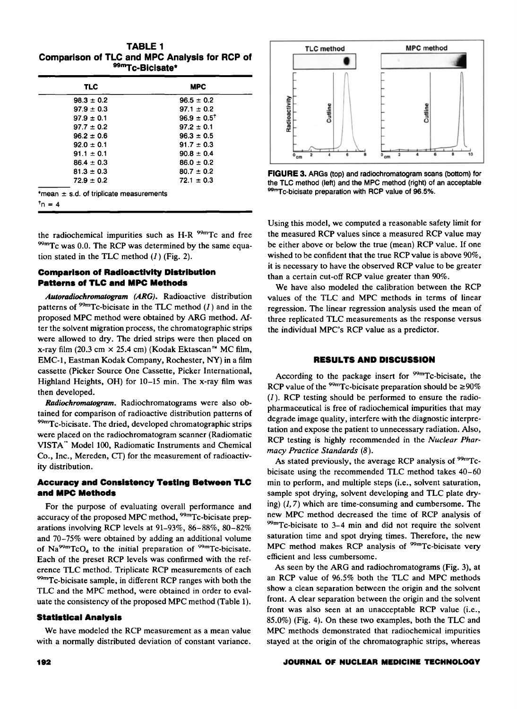**TABLE 1 Comparison of TLC and MPC Analysis for RCP of <sup>99</sup>"'Tc-Biclsate\*** 

| TLC            | <b>MPC</b>                  |
|----------------|-----------------------------|
| $98.3 \pm 0.2$ | $96.5 \pm 0.2$              |
| $97.9 \pm 0.3$ | $97.1 \pm 0.2$              |
| $97.9 \pm 0.1$ | $96.9 \pm 0.5$ <sup>t</sup> |
| $97.7 \pm 0.2$ | $97.2 \pm 0.1$              |
| $96.2 \pm 0.6$ | $96.3 \pm 0.5$              |
| $92.0 \pm 0.1$ | $91.7 \pm 0.3$              |
| $91.1 \pm 0.1$ | $90.8 \pm 0.4$              |
| $86.4 \pm 0.3$ | $86.0 \pm 0.2$              |
| $81.3 \pm 0.3$ | $80.7 \pm 0.2$              |
| $72.9 \pm 0.2$ | $72.1 \pm 0.3$              |

the radiochemical impurities such as H-R  $^{99m}$ Tc and free  $^{99m}$ Tc was 0.0. The RCP was determined by the same equation stated in the TLC method  $(I)$  (Fig. 2).

# **Comparison of Radioactivity Distribution Patterns of TLC and MPC Methods**

Autoradiochromatogram (ARG). Radioactive distribution patterns of  $99m$ Tc-bicisate in the TLC method (1) and in the proposed MPC method were obtained by ARG method. After the solvent migration process, the chromatographic strips were allowed to dry. The dried strips were then placed on x-ray film (20.3 cm  $\times$  25.4 cm) (Kodak Ektascan<sup>™</sup> MC film, EMC-1, Eastman Kodak Company, Rochester, NY) in a film cassette (Picker Source One Cassette, Picker International, Highland Heights, OH) for 10-15 min. The x-ray film was then developed.

Radiochromatogram. Radiochromatograms were also obtained for comparison of radioactive distribution patterns of <sup>99m</sup>Tc-bicisate. The dried, developed chromatographic strips were placed on the radiochromatogram scanner (Radiomatic VISTA'" Model 100, Radiomatic Instruments and Chemical Co., Inc., Mereden, CT) for the measurement of radioactivity distribution.

# **Accuracy and Consistency Testing Between TLC and MPC Methods**

For the purpose of evaluating overall performance and accuracy of the proposed MPC method, <sup>99m</sup>Tc-bicisate preparations involving RCP levels at 91-93%, 86-88%, 80-82% and 70-75% were obtained by adding an additional volume of  $Na<sup>99m</sup>TcO<sub>4</sub>$  to the initial preparation of  $<sup>99m</sup>Tc-bicisate$ .</sup> Each of the preset RCP levels was confirmed with the reference TLC method. Triplicate RCP measurements of each <sup>99m</sup>Tc-bicisate sample, in different RCP ranges with both the TLC and the MPC method, were obtained in order to evaluate the consistency of the proposed MPC method (Table 1).

# **Statistical Analysis**

We have modeled the RCP measurement as a mean value with a normally distributed deviation of constant variance.



**FIGURE 3.** ARGs (top) and radiochromatogram scans (bottom) for the TLC method (left) and the MPC method (right) of an acceptable 99mTc-bicisate preparation with RCP value of 96.5%.

Using this model, we computed a reasonable safety limit for the measured RCP values since a measured RCP value may be either above or below the true (mean) RCP value. If one wished to be confident that the true RCP value is above 90%, it is necessary to have the observed RCP value to be greater than a certain cut-off RCP value greater than 90%.

We have also modeled the calibration between the RCP values of the TLC and MPC methods in terms of linear regression. The linear regression analysis used the mean of three replicated TLC measurements as the response versus the individual MPC's RCP value as a predictor.

# **RESULTS AND DISCUSSION**

According to the package insert for <sup>99m</sup>Tc-bicisate, the RCP value of the <sup>99m</sup>Tc-bicisate preparation should be  $\geq 90\%$  $(1)$ . RCP testing should be performed to ensure the radiopharmaceutical is free of radiochemical impurities that may degrade image quality, interfere with the diagnostic interpretation and expose the patient to unnecessary radiation. Also, RCP testing is highly recommended in the *Nuclear Pharmacy Practice Standards (8).* 

As stated previously, the average RCP analysis of <sup>99m</sup>Tcbicisate using the recommended TLC method takes 40-60 min to perform, and multiple steps (i.e., solvent saturation, sample spot drying, solvent developing and TLC plate drying)  $(1, 7)$  which are time-consuming and cumbersome. The new MPC method decreased the time of RCP analysis of <sup>99m</sup>Tc-bicisate to 3–4 min and did not require the solvent saturation time and spot drying times. Therefore, the new MPC method makes RCP analysis of <sup>99m</sup>Tc-bicisate very efficient and less cumbersome.

As seen by the ARG and radiochromatograms (Fig. 3), at an RCP value of 96.5% both the TLC and MPC methods show a clean separation between the origin and the solvent front. A clear separation between the origin and the solvent front was also seen at an unacceptable RCP value (i.e., 85.0%) (Fig. 4). On these two examples, both the TLC and MPC methods demonstrated that radiochemical impurities stayed at the origin of the chromatographic strips, whereas

### **.JOURNAL OF NUCLEAR MEDICINE TECHNOLOGY**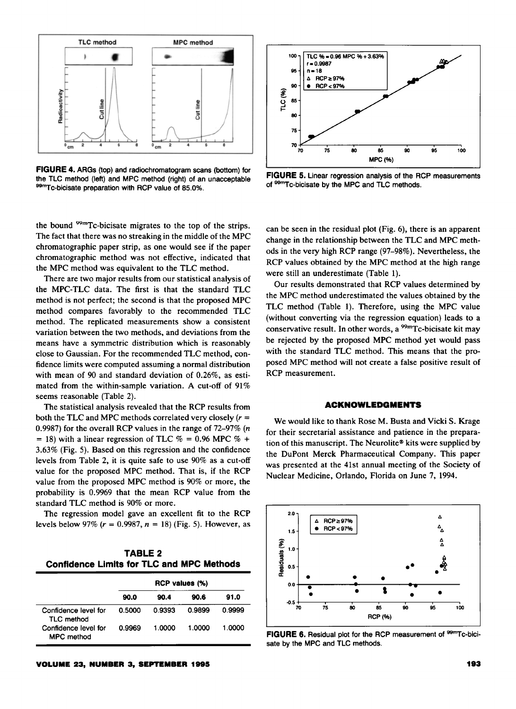

**FIGURE 4.** ARGs (top) and radiochromatogram scans (bottom) for the TLC method (left) and MPC method (right) of an unacceptable 99<sup>m</sup>Tc-bicisate preparation with RCP value of 85.0%.

the bound <sup>99m</sup>Tc-bicisate migrates to the top of the strips. The fact that there was no streaking in the middle of the MPC chromatographic paper strip, as one would see if the paper chromatographic method was not effective, indicated that the MPC method was equivalent to the TLC method.

There are two major results from our statistical analysis of the MPC-TLC data. The first is that the standard TLC method is not perfect; the second is that the proposed MPC method compares favorably to the recommended TLC method. The replicated measurements show a consistent variation between the two methods, and deviations from the means have a symmetric distribution which is reasonably close to Gaussian. For the recommended TLC method, confidence limits were computed assuming a normal distribution with mean of 90 and standard deviation of 0.26%, as estimated from the within-sample variation. A cut-off of 91% seems reasonable (Table 2).

The statistical analysis revealed that the RCP results from both the TLC and MPC methods correlated very closely  $(r =$ 0.9987) for the overall RCP values in the range of 72-97% (n = 18) with a linear regression of TLC  $% = 0.96$  MPC  $% +$ 3.63% (Fig. 5). Based on this regression and the confidence levels from Table 2, it is quite safe to use 90% as a cut-off value for the proposed MPC method. That is, if the RCP value from the proposed MPC method is 90% or more, the probability is 0.9969 that the mean RCP value from the standard TLC method is 90% or more.

The regression model gave an excellent fit to the RCP levels below 97%  $(r = 0.9987, n = 18)$  (Fig. 5). However, as

**TABLE 2 Confidence Limits for TLC and MPC Methods** 

|                                           | RCP values (%) |        |        |        |  |
|-------------------------------------------|----------------|--------|--------|--------|--|
|                                           | 90.0           | 90.4   | 90.6   | 91.0   |  |
| Confidence level for<br><b>TLC</b> method | 0.5000         | 0.9393 | 0.9899 | 0.9999 |  |
| Confidence level for<br><b>MPC</b> method | 0.9969         | 1.0000 | 1.0000 | 1.0000 |  |





**FIGURE 5.** Linear regression analysis of the RCP measurements of <sup>99m</sup>Tc-bicisate by the MPC and TLC methods.

can be seen in the residual plot (Fig. 6), there is an apparent change in the relationship between the TLC and MPC methods in the very high RCP range (97-98% ). Nevertheless, the RCP values obtained by the MPC method at the high range were still an underestimate (Table 1).

Our results demonstrated that RCP values determined by the MPC method underestimated the values obtained by the TLC method (Table 1). Therefore, using the MPC value (without converting via the regression equation) leads to a conservative result. In other words, a  $^{99m}$ Tc-bicisate kit may be rejected by the proposed MPC method yet would pass with the standard TLC method. This means that the proposed MPC method will not create a false positive result of RCP measurement.

### **ACKNOWLEDGMENTS**

We would like to thank Rose M. Busta and Vicki S. Krage for their secretarial assistance and patience in the preparation of this manuscript. The Neurolite® kits were supplied by the DuPont Merck Pharmaceutical Company. This paper was presented at the 41st annual meeting of the Society of Nuclear Medicine, Orlando, Florida on June 7, 1994.



**FIGURE 6.** Residual plot for the RCP measurement of <sup>99mT</sup>c-bicisate by the MPC and TLC methods.